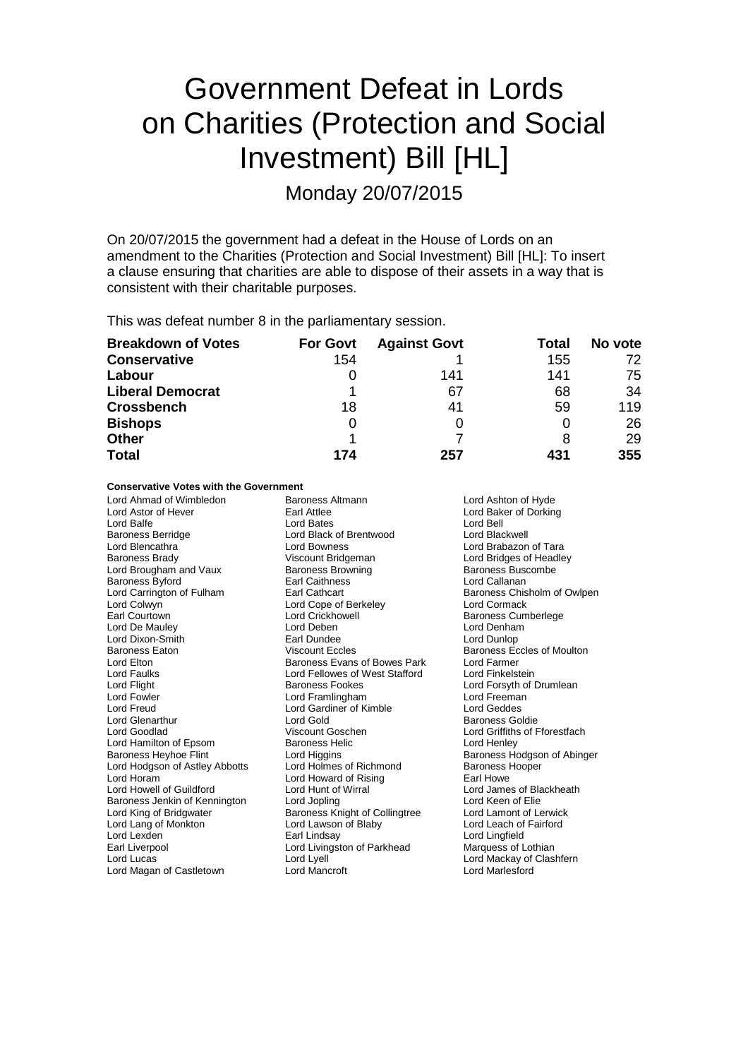# Government Defeat in Lords on Charities (Protection and Social Investment) Bill [HL]

Monday 20/07/2015

On 20/07/2015 the government had a defeat in the House of Lords on an amendment to the Charities (Protection and Social Investment) Bill [HL]: To insert a clause ensuring that charities are able to dispose of their assets in a way that is consistent with their charitable purposes.

This was defeat number 8 in the parliamentary session.

| <b>Breakdown of Votes</b> | <b>For Govt</b> | <b>Against Govt</b> | Total | No vote |
|---------------------------|-----------------|---------------------|-------|---------|
| <b>Conservative</b>       | 154             |                     | 155   | 72      |
| Labour                    |                 | 141                 | 141   | 75      |
| <b>Liberal Democrat</b>   |                 | 67                  | 68    | 34      |
| <b>Crossbench</b>         | 18              | 41                  | 59    | 119     |
| <b>Bishops</b>            | O               |                     |       | 26      |
| <b>Other</b>              |                 |                     | 8     | 29      |
| <b>Total</b>              | 174             | 257                 | 431   | 355     |

### **Conservative Votes with the Government**

| Lord Ahmad of Wimbledon        | Baroness Altmann               | Lord Ashton of Hyde           |
|--------------------------------|--------------------------------|-------------------------------|
| Lord Astor of Hever            | Earl Attlee                    | Lord Baker of Dorking         |
| Lord Balfe                     | Lord Bates                     | Lord Bell                     |
| <b>Baroness Berridge</b>       | Lord Black of Brentwood        | Lord Blackwell                |
| Lord Blencathra                | Lord Bowness                   | Lord Brabazon of Tara         |
| <b>Baroness Brady</b>          | Viscount Bridgeman             | Lord Bridges of Headley       |
| Lord Brougham and Vaux         | <b>Baroness Browning</b>       | <b>Baroness Buscombe</b>      |
| Baroness Byford                | Earl Caithness                 | Lord Callanan                 |
| Lord Carrington of Fulham      | Earl Cathcart                  | Baroness Chisholm of Owlpen   |
| Lord Colwyn                    | Lord Cope of Berkeley          | Lord Cormack                  |
| Earl Courtown                  | Lord Crickhowell               | <b>Baroness Cumberlege</b>    |
| Lord De Mauley                 | Lord Deben                     | Lord Denham                   |
| Lord Dixon-Smith               | Earl Dundee                    | Lord Dunlop                   |
| <b>Baroness Eaton</b>          | <b>Viscount Eccles</b>         | Baroness Eccles of Moulton    |
| Lord Elton                     | Baroness Evans of Bowes Park   | Lord Farmer                   |
| Lord Faulks                    | Lord Fellowes of West Stafford | Lord Finkelstein              |
| Lord Flight                    | Baroness Fookes                | Lord Forsyth of Drumlean      |
| Lord Fowler                    | Lord Framlingham               | Lord Freeman                  |
| Lord Freud                     | Lord Gardiner of Kimble        | Lord Geddes                   |
| Lord Glenarthur                | Lord Gold                      | <b>Baroness Goldie</b>        |
| Lord Goodlad                   | Viscount Goschen               | Lord Griffiths of Fforestfach |
| Lord Hamilton of Epsom         | <b>Baroness Helic</b>          | Lord Henley                   |
| <b>Baroness Heyhoe Flint</b>   | Lord Higgins                   | Baroness Hodgson of Abinger   |
| Lord Hodgson of Astley Abbotts | Lord Holmes of Richmond        | <b>Baroness Hooper</b>        |
| Lord Horam                     | Lord Howard of Rising          | Earl Howe                     |
| Lord Howell of Guildford       | Lord Hunt of Wirral            | Lord James of Blackheath      |
| Baroness Jenkin of Kennington  | Lord Jopling                   | Lord Keen of Elie             |
| Lord King of Bridgwater        | Baroness Knight of Collingtree | Lord Lamont of Lerwick        |
| Lord Lang of Monkton           | Lord Lawson of Blaby           | Lord Leach of Fairford        |
| Lord Lexden                    | Earl Lindsay                   | Lord Lingfield                |
| Earl Liverpool                 | Lord Livingston of Parkhead    | Marquess of Lothian           |
| Lord Lucas                     | Lord Lyell                     | Lord Mackay of Clashfern      |
| Lord Magan of Castletown       | Lord Mancroft                  | <b>Lord Marlesford</b>        |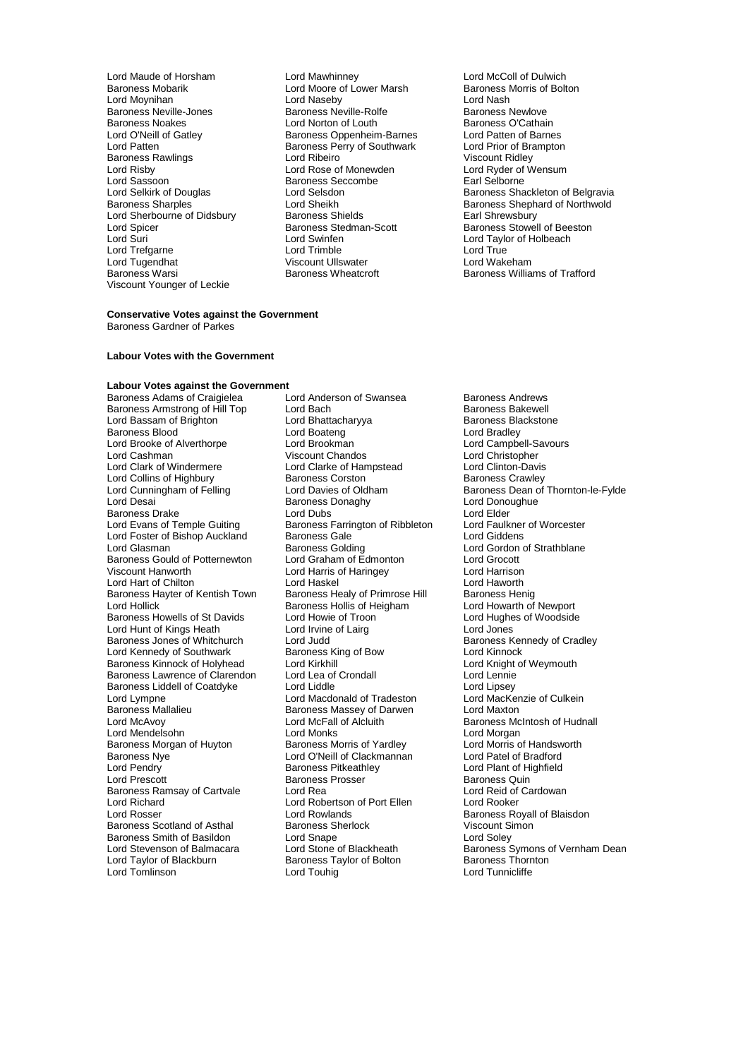Lord Maude of Horsham **Lord Mawhinney** Lord McColl of Dulwich<br>
Baroness Mobarik **Collam Lord Moore of Lower Marsh** Baroness Morris of Bolton Lord Moynihan **Lord Lord Naseby** Lord David Lord Nash<br>
Baroness Neville-Jones **Contains Baroness Newlowe** Baroness Newlove Baroness Neville-Jones Baroness Neville-Rolfe Baroness Newlove Baroness Noakes **Lord Norton of Louth** Baroness O'Cathain<br>
Lord O'Neill of Gatlev **Baroness Obbenheim-Barnes** Lord Patten of Barnes Lord O'Neill of Gatley Baroness Oppenheim-Barnes Lord Patten of Barnes Baroness Rawlings **Communist Control Control Control Control Control Control Control Control Control Control Control Control Control Control Control Control Control Control Control Control Control Control Control Control C** Lord Risby **Lord Rose of Monewden** Lord Ryder of Lord Ryder of Wensum Cord Ryder of Lord Ryder of Baroness Seccombe Lord Sassoon Baroness Seccombe<br>
Lord Selkirk of Douglas<br>
Lord Selsdon Lord Sherbourne of Didsbury Baroness Shields<br>
Lord Spicer Baroness Stedman-Scott Lord Spicer **Baroness Stedman-Scott** Baroness Stedman-Scott Baroness Stowell of Beeston<br>
Baroness Stowell of Beeston<br>
Lord Suri Lord Trefgarne **Lord Trimble** Lord Trimble Lord True<br>
Lord Tugendhat **Lord Communist Communist Communist Communist Communist Communist Communist Communist Communist C** Lord Tugendhat **Viscount Ullswater** Viscount Ullswater Corresponding May be Darwick Baroness Wheatcroft Viscount Younger of Leckie

Lord Moore of Lower Marsh Baroness I<br>Lord Naseby Bolton Bolton Baroness I Baroness Perry of Southwark Lord Prior of Bram<br>Lord Ribeiro Cord Ridley Lord Swinfen **Lord Taylor of Holbeach**<br>
Lord Trimble **Lord True**<br>
Lord True

# Lord Selkirk of Douglas Lord Selsdon **Baroness Shackleton of Belgravia**<br>
Baroness Shackleton of Belgravia<br>
Baroness Shaphard of Northwold Lord Sheikh **Baroness Shephard of Northwold**<br>Baroness Shields **Baroness Shephard Communisty** Baroness Williams of Trafford

#### **Conservative Votes against the Government** Baroness Gardner of Parkes

## **Labour Votes with the Government**

# **Labour Votes against the Government**<br>Baroness Adams of Craigielea **Lord Anderson of Swansea**

Baroness Armstrong of Hill Top Lord Bach Bach Baroness Bakewell<br>
Lord Bassam of Brighton Lord Bhattacharyya Baroness Blackstone Lord Bassam of Brighton Lord Bhattach<br>Baroness Blood Lord Boateng Baroness Blood Lord Boateng Lord Bradley Lord Brooke of Alverthorpe Lord Brookman Lord Campbell-Savours Lord Cashman Viscount Chandos Lord Christopher Lord Collins of Highbury<br>
Lord Cunningham of Felling<br>
Lord Davies of Oldham Baroness Drake **Lord Elder** Lord Dubs<br>
Lord Evans of Temple Guiting Baroness Farrington of Ribbleton Lord Faulkner of Worcester Lord Foster of Bishop Auckland Baroness Gale<br>
Lord Glasman Baroness Golding Lord Glasman **Lord Communist Cology** Baroness Golding **Lord Gordon of Strathblane**<br>Baroness Gould of Potternewton Lord Graham of Edmonton Lord Grocott Baroness Gould of Potternewton Lord Graham of Edmonton Lord Grocott Lord Hart of Chilton **Lord Haskel** Lord Haskel Lord Haworth Lord Haworth Cord Haskel Lord Haworth Baroness Henig<br>
Lord Hollick **Lord Hollick** Baroness Hollis of Heigham Lord Howarth of Newport Baroness Hayter of Kentish Town<br>Lord Hollick Baroness Howells of St Davids Lord Howie of Troon Troon Lord Hughes Lord Hughes Lord Hughes Cord Hughes Cord Jones Lord Hunt of Kings Heath Lord Irvine<br>Baroness Jones of Whitchurch Lord Judd Lord Kennedy of Southwark **Baroness King of Bow** Lord Kinnock **Consuments** Baroness Kinnock **Consuments** Baroness Kinnock of Holyhead Lord Krikhill Baroness Kinnock of Holyhead Lord Kirkhill Lord Knight Lord Knight of Lord Knight of Lord Lord Lennie Baroness Lawrence of Clarendon Lord Lea of Crondall Lord Lennie<br>Baroness Liddell of Coatdyke Lord Liddle Lord Linsey Baroness Liddell of Coatdyke Lord Liddle Lord Liddle Lord Linsey<br>
Lord Lympne Lord Macdonald of Tradeston Lord MacKenzie of Culkein Lord Lympne Lord Macdonald of Tradeston Lord MacKer<br>
Baroness Mallalieu Baroness Massey of Darwen Lord Maxton Baroness Mallalieu Baroness Massey of Darwen<br>
Lord McAvoy<br>
Lord McFall of Alcluith Lord Mendelsohn **Lord Monks**<br>
Baroness Morgan of Huyton **Baroness Morris of Yardley** Lord Morris of Handsworth Baroness Morgan of Huyton Baroness Morris of Yardley Cord Morris of Handsworth Baroness Norris of Handsworth Cor<br>Baroness Nye Cord Cord O'Neill of Clackmannan Cord Patel of Bradford Baroness Nye **Lord O'Neill of Clackmannan**<br>
Lord Pendry **Contains Communist Clackmannan**<br>
Baroness Pitkeathley Lord Pendry **Communist Communist Communist Party Communist Party Communist Party Communist Party Party Party P**<br>Baroness Prosser **Baroness Prosser** Baroness Quin Baroness Ramsay of Cartvale Lord Rea Lord Robertson of Port Ellen Lord Rooker<br>
Lord Richard Lord Robertson of Port Ellen Lord Rooker Lord Richard Lord Robertson of Port Ellen Lord Rooker Baroness Scotland of Asthal **Baroness Sherlock** Viscount Simoness Sherlock Viscount Simoness Sherlock Viscount Si<br>Baroness Smith of Basildon Lord Snape Baroness Smith of Basildon<br>
Lord Stevenson of Balmacara<br>
Lord Stone of Blackheath Lord Taylor of Blackburn Baroness Taylor of Bolton<br>
Lord Touhig<br>
Lord Touhig

Baroness Adams of Craigielea Lord Anderson of Swansea Baroness Andrews<br>Baroness Armstrong of Hill Top Lord Bach Cord Baroness Bakewell Lord Clarke of Hampstead Lord Clinton-Davis<br>Baroness Corston Baroness Crawley Baroness Donaghy Lord Donoughue<br>
Lord Dubs<br>
Lord Elder Baroness Farrington of Ribbleton Lord Faulkner<br>Baroness Gale Corp. Lord Giddens Lord Harris of Haringey **Lord Harrison**<br>
Lord Haskel **Lord Haworth** Baroness Hollis of Heigham Lord Howarth of Newport<br>
Lord Howie of Troon Lord Hughes of Woodside Lord Judd<br>
Baroness King of Bow<br>
Baroness King of Bow<br>
Lord Kinnock Lord McFall of Alcluith Baroness McIntosh of Hudnall<br>
Lord Monks Lord Morgan Baroness Prosser **Baroness Quin**<br>
Lord Rea<br>
Lord Reid of Cardowan Lord Rowlands<br>
Baroness Sherlock **Baroness Royall of Blaisdon**<br>
Viscount Simon

Lord Cunningham of Felling Lord Davies of Oldham Baroness Dean of Thornton-le-Fylde<br>Lord Desai Baroness Donaghy Lord Donoughue Lord Stevenson of Balmacara Lord Stone of Blackheath Baroness Symons of Vernham Dean<br>
Lord Taylor of Blackburn Baroness Taylor of Bolton Baroness Thornton Lord Tunnicliffe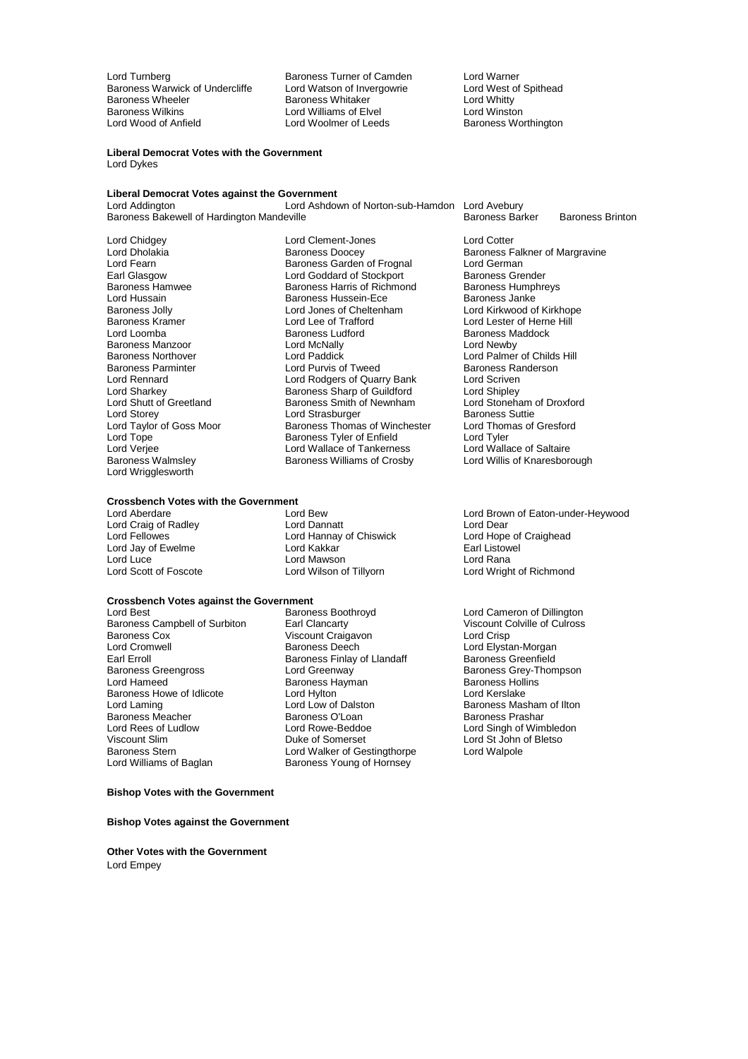Lord Turnberg **Baroness Turner of Camden** Lord Warner<br>
Baroness Warwick of Undercliffe Lord Watson of Invergowrie Lord West of Spithead Baroness Warwick of Undercliffe Lord Watson of Invergowrie Cord West of Undercliffe Lord West of Spithead Mart<br>Baroness Wheeler Baroness Whitaker Cord Whitty Baroness Wheeler **Baroness Whitaker Baroness White Lord Whitty**<br>Baroness Wilkins **Baroness Williams of Flyel** Baroness Wilkins Baroness Wilkins **Lord Williams of Elvel**<br>
Lord Wood of Antield **Lord Woolmer of Leeds** 

**Liberal Democrat Votes with the Government** Lord Dykes

# **Liberal Democrat Votes against the Government**

Lord Ashdown of Norton-sub-Hamdon Lord Avebury<br>eville Baroness Barker Baroness Bakewell of Hardington Mandeville Baroness Barker Baroness Barker Baroness Brinton

Lord Chidgey Lord Clement-Jones Lord Cotter Lord Fearn The Communist Controller Baroness Garden of Frognal The Lord German<br>Earl Glasgow The Lord Goddard of Stockport The Baroness Grender Earl Glasgow **Lord Goddard of Stockport** Baroness Grender<br>
Baroness Hamwee **Baroness Harris of Richmond** Baroness Humphrevs Baroness Hamwee **Baroness Harris of Richmond** Baroness Humphreys Harris of Richmond Baroness Humphreys Baroness Janke Baroness Manzoor **Lord McNally**<br>
Baroness Northover<br>
Lord Paddick Lord Wrigglesworth

Lord Hussain **Baroness Hussein-Ece Baroness July**<br>
Baroness Jolly **Baroness** Lord Jones of Cheltenham Baroness Jolly **Lord Jones of Cheltenham** Cord Kirkwood of Kirkhope<br>Baroness Kramer **Lord Lord Lee of Trafford** Cord Lord Lester of Herne Hill Baroness Kramer Lord Lee of Trafford Lord Lester of Herne Hill **Baroness Ludford** Baroness Maddock<br> **Lord McNally Baroness Lord Newby** Baroness Northover **Lord Paddick** Lord Paddick Lord Palmer of Childs Hill Cord Palmer of Childs Hill Cord Palmer of Childs Hill Cord Palmer of Childs Hill Cord Palmer of Childs Hill Cord Palmer of Childs Hill Cord Palmer C Baroness Parminter **Lord Purvis of Tweed** Baroness Randers Randers Corp. **Baroness Randers** Corp. 2014 **Baroness Randers** Corp. 2014 **Roders** of Quarry Bank Lord Scriven Lord Rennard Lord Rodgers of Quarry Bank Lord Scriven<br>
Lord Sharkey Baroness Sharp of Guildford Lord Shipley Lord Sharkey **Baroness Sharp of Guildford** Lord Shipley<br>Lord Shutt of Greetland **Baroness Smith of Newnham** Lord Stoneham of Droxford Lord Shutt of Greetland Baroness Smith of Newnham Lord Stoneham Lord Stoneham Lord Stoneham Lord Stoneham Cord Strasburger Cordination Baroness Suttie Lord Strasburger Baroness Suttie<br>
Lord Taylor of Goss Moor Baroness Thomas of Winchester Lord Thomas of Gresford Lord Taylor of Goss Moor Baroness Thomas of Winchester Lord Thom<br>Lord Tope Baroness Tyler of Enfield Lord Tyler Lord Tope Baroness Tyler of Enfield Lord Tyler Lord Verjee Lord Wallace of Tankerness Lord Wallace of Saltaire<br>
Baroness Walmsley Baroness Williams of Crosby Lord Willis of Knaresborough Baroness Williams of Crosby

# **Crossbench Votes with the Government**

Lord Jay of Ewelme Lord Kakkar Earl Listowel Lord Luce<br>
Lord Scott of Foscote<br>
Lord Wilson of Tillyorn

Baroness Campbell of Surbiton Earl Clancarty **Earl Clancarty** Viscount C<br>
Baroness Cox Culross Conville of Culross Culross Colville of Culross Conville of Culross Conville of Culross C Baroness Cox **Viscount Craigavon**<br>
Lord Cromwell **Craigavon**<br>
Baroness Deech Lord Cromwell **Example 2** Baroness Deech Lord Elystan-Morgan<br>Earl Erroll Baroness Finlay of Llandaff **Baroness Greenfield** Earl Erroll<br>
Baroness Greengross<br>
Lord Greenway Baroness Greengross **Example 2** Lord Greenway **Baroness Grey-Thompson**<br>
Lord Hameed **Baroness Hayman** Baroness Hayman Baroness Hollins Baroness Howe of Idlicote Lord Hylton<br>Lord Laming Lord Low of Dalston Lord Laming Lord Low of Dalston Baroness Masham of Ilton<br>
Baroness Meacher Baroness O'Loan Baroness Prashar Baroness Meacher Baroness O'Loan<br> **Baroness Access Communist Communist Pracha**<br>
Lord Rowe-Beddoe Lord Rees of Ludlow Lord Rowe-Beddoe Lord Singh of Wimbledon Viscount Slim **Duke of Somerset** Cord St John of Bletso<br>
Baroness Stern **Duke of Gestingthorpe** Lord Walpole<br>
Lord Walpole Baroness Stern **Lord Walker of Gestingthorpe**<br>
Lord Williams of Baglan **Communist Baroness Young of Hornsey** 

**Crossbench Votes against the Government** Baroness Boothroyd **Lord Cameron of Dillington**<br>
Earl Clancarty **Cameron Collect Baroness**<br>
Viscount Colville of Culross Exaroness Hayman Baroness Holling Baroness Holling Baroness Holling Baroness Holling Baroness Holling Baroness Holling Baroness Holling Baroness Holling Baroness Holling Baroness Holling Baroness Holling Baroness Holling B

Baroness Young of Hornsey

Baroness Worthington

Lord Dholakia **Baroness Doocey** Baroness Falkner of Margravine<br>
Baroness Garden of Frognal Lord German<br>
Lord Fearn

Lord Brown of Eaton-under-Heywood Lord Craig of Radley **Lord Dannatt** Lord Dannatt **Lord Dear**<br>
Lord Fellowes **Lord Lord Hannay of Chiswick** Lord Hope of Craighead Lord Hannay of Chiswick Lord Hope of Craighead Lord Hope of Lord Hope of Lord Hope of Craighead Lord Hope of C Lord Wright of Richmond

#### **Bishop Votes with the Government**

**Bishop Votes against the Government**

**Other Votes with the Government** Lord Empey